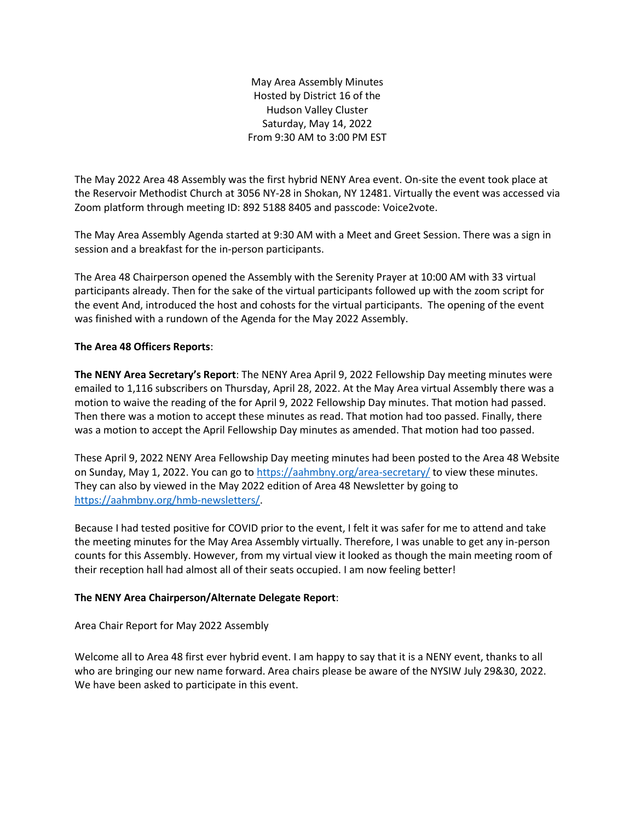May Area Assembly Minutes Hosted by District 16 of the Hudson Valley Cluster Saturday, May 14, 2022 From 9:30 AM to 3:00 PM EST

The May 2022 Area 48 Assembly was the first hybrid NENY Area event. On-site the event took place at the Reservoir Methodist Church at 3056 NY-28 in Shokan, NY 12481. Virtually the event was accessed via Zoom platform through meeting ID: 892 5188 8405 and passcode: Voice2vote.

The May Area Assembly Agenda started at 9:30 AM with a Meet and Greet Session. There was a sign in session and a breakfast for the in-person participants.

The Area 48 Chairperson opened the Assembly with the Serenity Prayer at 10:00 AM with 33 virtual participants already. Then for the sake of the virtual participants followed up with the zoom script for the event And, introduced the host and cohosts for the virtual participants. The opening of the event was finished with a rundown of the Agenda for the May 2022 Assembly.

# **The Area 48 Officers Reports**:

**The NENY Area Secretary's Report**: The NENY Area April 9, 2022 Fellowship Day meeting minutes were emailed to 1,116 subscribers on Thursday, April 28, 2022. At the May Area virtual Assembly there was a motion to waive the reading of the for April 9, 2022 Fellowship Day minutes. That motion had passed. Then there was a motion to accept these minutes as read. That motion had too passed. Finally, there was a motion to accept the April Fellowship Day minutes as amended. That motion had too passed.

These April 9, 2022 NENY Area Fellowship Day meeting minutes had been posted to the Area 48 Website on Sunday, May 1, 2022. You can go t[o https://aahmbny.org/area-secretary/](https://aahmbny.org/area-secretary/) to view these minutes. They can also by viewed in the May 2022 edition of Area 48 Newsletter by going to [https://aahmbny.org/hmb-newsletters/.](https://aahmbny.org/hmb-newsletters/)

Because I had tested positive for COVID prior to the event, I felt it was safer for me to attend and take the meeting minutes for the May Area Assembly virtually. Therefore, I was unable to get any in-person counts for this Assembly. However, from my virtual view it looked as though the main meeting room of their reception hall had almost all of their seats occupied. I am now feeling better!

# **The NENY Area Chairperson/Alternate Delegate Report**:

Area Chair Report for May 2022 Assembly

Welcome all to Area 48 first ever hybrid event. I am happy to say that it is a NENY event, thanks to all who are bringing our new name forward. Area chairs please be aware of the NYSIW July 29&30, 2022. We have been asked to participate in this event.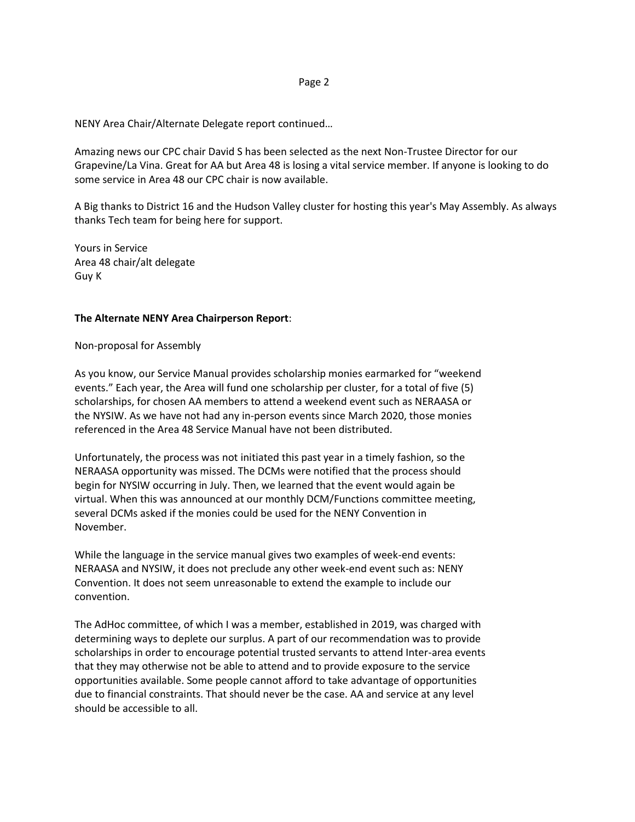#### Page 2

NENY Area Chair/Alternate Delegate report continued…

Amazing news our CPC chair David S has been selected as the next Non-Trustee Director for our Grapevine/La Vina. Great for AA but Area 48 is losing a vital service member. If anyone is looking to do some service in Area 48 our CPC chair is now available.

A Big thanks to District 16 and the Hudson Valley cluster for hosting this year's May Assembly. As always thanks Tech team for being here for support.

Yours in Service Area 48 chair/alt delegate Guy K

### **The Alternate NENY Area Chairperson Report**:

Non-proposal for Assembly

As you know, our Service Manual provides scholarship monies earmarked for "weekend events." Each year, the Area will fund one scholarship per cluster, for a total of five (5) scholarships, for chosen AA members to attend a weekend event such as NERAASA or the NYSIW. As we have not had any in-person events since March 2020, those monies referenced in the Area 48 Service Manual have not been distributed.

Unfortunately, the process was not initiated this past year in a timely fashion, so the NERAASA opportunity was missed. The DCMs were notified that the process should begin for NYSIW occurring in July. Then, we learned that the event would again be virtual. When this was announced at our monthly DCM/Functions committee meeting, several DCMs asked if the monies could be used for the NENY Convention in November.

While the language in the service manual gives two examples of week-end events: NERAASA and NYSIW, it does not preclude any other week-end event such as: NENY Convention. It does not seem unreasonable to extend the example to include our convention.

The AdHoc committee, of which I was a member, established in 2019, was charged with determining ways to deplete our surplus. A part of our recommendation was to provide scholarships in order to encourage potential trusted servants to attend Inter-area events that they may otherwise not be able to attend and to provide exposure to the service opportunities available. Some people cannot afford to take advantage of opportunities due to financial constraints. That should never be the case. AA and service at any level should be accessible to all.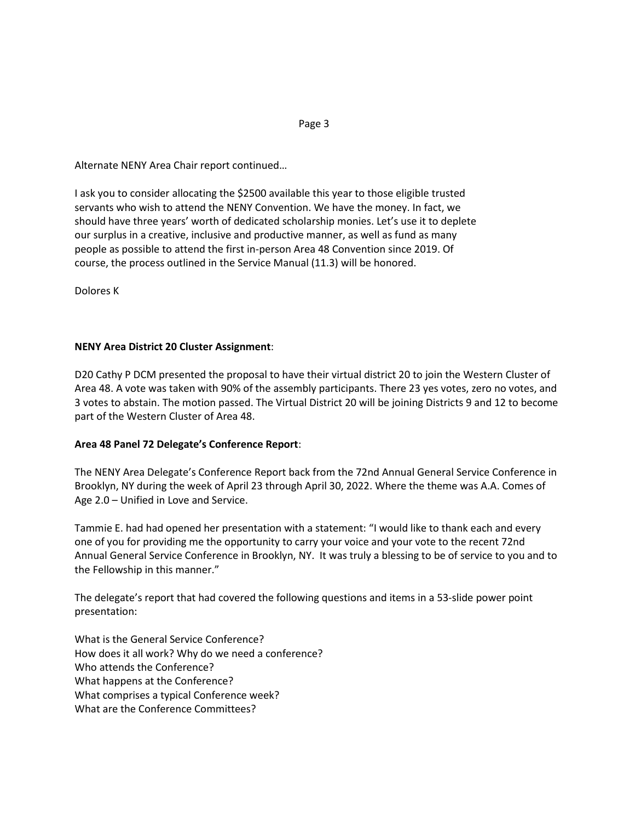Alternate NENY Area Chair report continued…

I ask you to consider allocating the \$2500 available this year to those eligible trusted servants who wish to attend the NENY Convention. We have the money. In fact, we should have three years' worth of dedicated scholarship monies. Let's use it to deplete our surplus in a creative, inclusive and productive manner, as well as fund as many people as possible to attend the first in-person Area 48 Convention since 2019. Of course, the process outlined in the Service Manual (11.3) will be honored.

Dolores K

# **NENY Area District 20 Cluster Assignment**:

D20 Cathy P DCM presented the proposal to have their virtual district 20 to join the Western Cluster of Area 48. A vote was taken with 90% of the assembly participants. There 23 yes votes, zero no votes, and 3 votes to abstain. The motion passed. The Virtual District 20 will be joining Districts 9 and 12 to become part of the Western Cluster of Area 48.

# **Area 48 Panel 72 Delegate's Conference Report**:

The NENY Area Delegate's Conference Report back from the 72nd Annual General Service Conference in Brooklyn, NY during the week of April 23 through April 30, 2022. Where the theme was A.A. Comes of Age 2.0 – Unified in Love and Service.

Tammie E. had had opened her presentation with a statement: "I would like to thank each and every one of you for providing me the opportunity to carry your voice and your vote to the recent 72nd Annual General Service Conference in Brooklyn, NY. It was truly a blessing to be of service to you and to the Fellowship in this manner."

The delegate's report that had covered the following questions and items in a 53-slide power point presentation:

What is the General Service Conference? How does it all work? Why do we need a conference? Who attends the Conference? What happens at the Conference? What comprises a typical Conference week? What are the Conference Committees?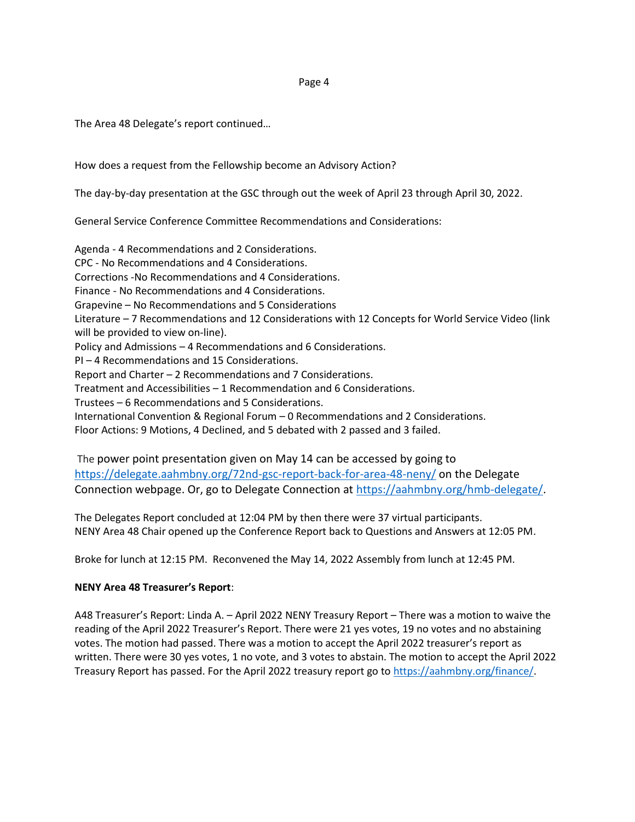#### Page 4

The Area 48 Delegate's report continued…

How does a request from the Fellowship become an Advisory Action?

The day-by-day presentation at the GSC through out the week of April 23 through April 30, 2022.

General Service Conference Committee Recommendations and Considerations:

Agenda - 4 Recommendations and 2 Considerations. CPC - No Recommendations and 4 Considerations. Corrections -No Recommendations and 4 Considerations. Finance - No Recommendations and 4 Considerations. Grapevine – No Recommendations and 5 Considerations Literature – 7 Recommendations and 12 Considerations with 12 Concepts for World Service Video (link will be provided to view on-line). Policy and Admissions – 4 Recommendations and 6 Considerations. PI – 4 Recommendations and 15 Considerations. Report and Charter – 2 Recommendations and 7 Considerations. Treatment and Accessibilities – 1 Recommendation and 6 Considerations. Trustees – 6 Recommendations and 5 Considerations. International Convention & Regional Forum – 0 Recommendations and 2 Considerations. Floor Actions: 9 Motions, 4 Declined, and 5 debated with 2 passed and 3 failed.

The power point presentation given on May 14 can be accessed by going to <https://delegate.aahmbny.org/72nd-gsc-report-back-for-area-48-neny/> on the Delegate Connection webpage. Or, go to Delegate Connection at [https://aahmbny.org/hmb-delegate/.](https://aahmbny.org/hmb-delegate/)

The Delegates Report concluded at 12:04 PM by then there were 37 virtual participants. NENY Area 48 Chair opened up the Conference Report back to Questions and Answers at 12:05 PM.

Broke for lunch at 12:15 PM. Reconvened the May 14, 2022 Assembly from lunch at 12:45 PM.

# **NENY Area 48 Treasurer's Report**:

A48 Treasurer's Report: Linda A. – April 2022 NENY Treasury Report – There was a motion to waive the reading of the April 2022 Treasurer's Report. There were 21 yes votes, 19 no votes and no abstaining votes. The motion had passed. There was a motion to accept the April 2022 treasurer's report as written. There were 30 yes votes, 1 no vote, and 3 votes to abstain. The motion to accept the April 2022 Treasury Report has passed. For the April 2022 treasury report go to [https://aahmbny.org/finance/.](https://aahmbny.org/finance/)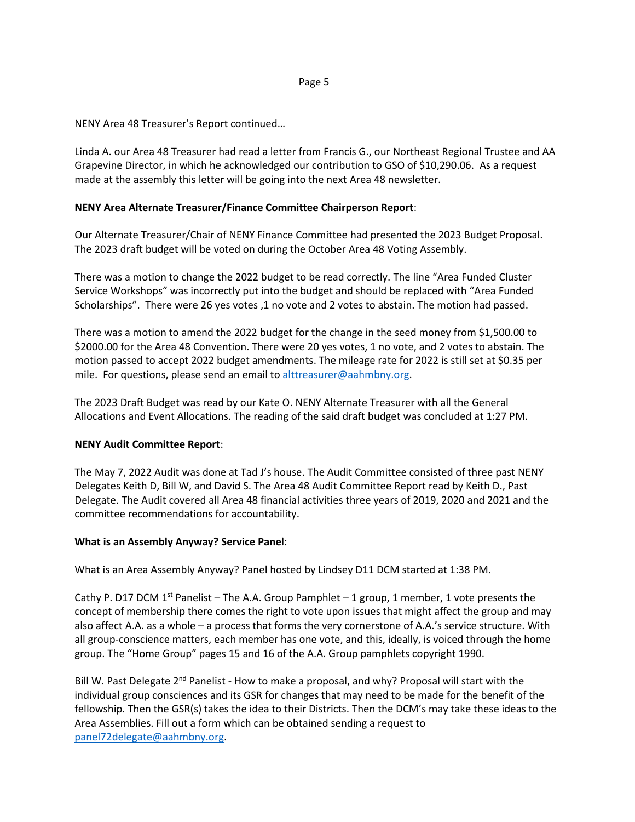### Page 5

NENY Area 48 Treasurer's Report continued…

Linda A. our Area 48 Treasurer had read a letter from Francis G., our Northeast Regional Trustee and AA Grapevine Director, in which he acknowledged our contribution to GSO of \$10,290.06. As a request made at the assembly this letter will be going into the next Area 48 newsletter.

# **NENY Area Alternate Treasurer/Finance Committee Chairperson Report**:

Our Alternate Treasurer/Chair of NENY Finance Committee had presented the 2023 Budget Proposal. The 2023 draft budget will be voted on during the October Area 48 Voting Assembly.

There was a motion to change the 2022 budget to be read correctly. The line "Area Funded Cluster Service Workshops" was incorrectly put into the budget and should be replaced with "Area Funded Scholarships". There were 26 yes votes ,1 no vote and 2 votes to abstain. The motion had passed.

There was a motion to amend the 2022 budget for the change in the seed money from \$1,500.00 to \$2000.00 for the Area 48 Convention. There were 20 yes votes, 1 no vote, and 2 votes to abstain. The motion passed to accept 2022 budget amendments. The mileage rate for 2022 is still set at \$0.35 per mile. For questions, please send an email to [alttreasurer@aahmbny.org.](mailto:alttreasurer@aahmbny.org)

The 2023 Draft Budget was read by our Kate O. NENY Alternate Treasurer with all the General Allocations and Event Allocations. The reading of the said draft budget was concluded at 1:27 PM.

# **NENY Audit Committee Report**:

The May 7, 2022 Audit was done at Tad J's house. The Audit Committee consisted of three past NENY Delegates Keith D, Bill W, and David S. The Area 48 Audit Committee Report read by Keith D., Past Delegate. The Audit covered all Area 48 financial activities three years of 2019, 2020 and 2021 and the committee recommendations for accountability.

### **What is an Assembly Anyway? Service Panel**:

What is an Area Assembly Anyway? Panel hosted by Lindsey D11 DCM started at 1:38 PM.

Cathy P. D17 DCM 1<sup>st</sup> Panelist – The A.A. Group Pamphlet – 1 group, 1 member, 1 vote presents the concept of membership there comes the right to vote upon issues that might affect the group and may also affect A.A. as a whole – a process that forms the very cornerstone of A.A.'s service structure. With all group-conscience matters, each member has one vote, and this, ideally, is voiced through the home group. The "Home Group" pages 15 and 16 of the A.A. Group pamphlets copyright 1990.

Bill W. Past Delegate  $2^{nd}$  Panelist - How to make a proposal, and why? Proposal will start with the individual group consciences and its GSR for changes that may need to be made for the benefit of the fellowship. Then the GSR(s) takes the idea to their Districts. Then the DCM's may take these ideas to the Area Assemblies. Fill out a form which can be obtained sending a request to [panel72delegate@aahmbny.org.](mailto:panel72delegate@aahmbny.org)